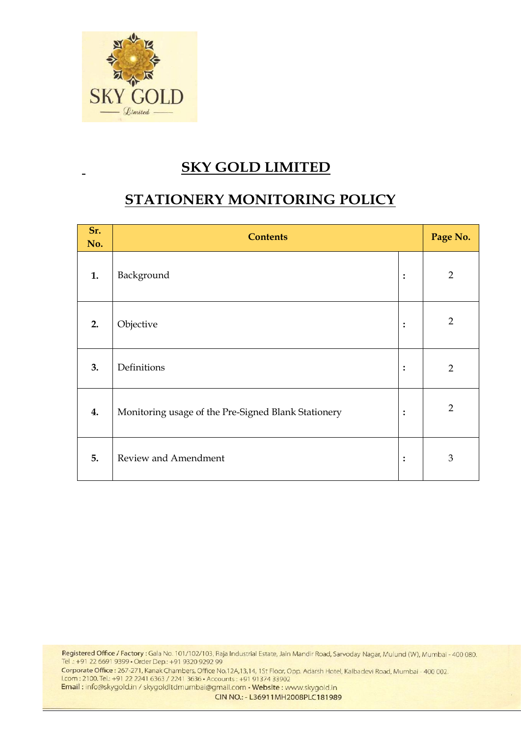

## **SKY GOLD LIMITED**

# **STATIONERY MONITORING POLICY**

| Sr.<br>No. | <b>Contents</b>                                     |                | Page No.       |
|------------|-----------------------------------------------------|----------------|----------------|
| 1.         | Background                                          | $\ddot{\cdot}$ | $\overline{2}$ |
| 2.         | Objective                                           | :              | $\overline{2}$ |
| 3.         | Definitions                                         | :              | $\overline{2}$ |
| 4.         | Monitoring usage of the Pre-Signed Blank Stationery | :              | $\overline{2}$ |
| 5.         | Review and Amendment                                | $\ddot{\cdot}$ | $\mathfrak{B}$ |

Registered Office / Factory: Gala No. 101/102/103, Raja Industrial Estate, Jain Mandir Road, Sarvoday Nagar, Mulund (W), Mumbai - 400 080. Tel .: +91 22 6691 9399 · Order Dep .: +91 9320 9292 99

Corporate Office : 267-271, Kanak Chambers, Office No.12A,13,14, 1St Floor, Opp. Adarsh Hotel, Kalbadevi Road, Mumbai - 400 002. I.com : 2100. Tel.: +91 22 2241 6363 / 2241 3636 · Accounts : +91 91374 33902

Email: info@skygold.in / skygoldItdmumbai@gmail.com · Website: www.skygold.in

CIN NO.: - L36911MH2008PLC181989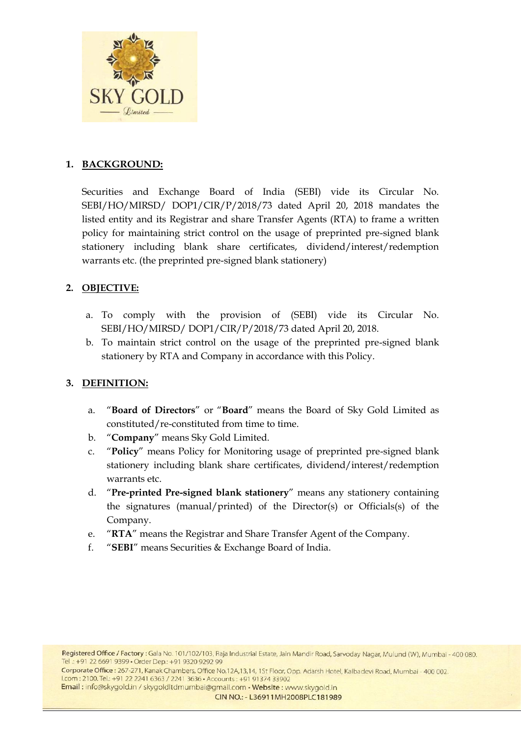

#### **1. BACKGROUND:**

Securities and Exchange Board of India (SEBI) vide its Circular No. SEBI/HO/MIRSD/ DOP1/CIR/P/2018/73 dated April 20, 2018 mandates the listed entity and its Registrar and share Transfer Agents (RTA) to frame a written policy for maintaining strict control on the usage of preprinted pre-signed blank stationery including blank share certificates, dividend/interest/redemption warrants etc. (the preprinted pre-signed blank stationery)

#### **2. OBJECTIVE:**

- a. To comply with the provision of (SEBI) vide its Circular No. SEBI/HO/MIRSD/ DOP1/CIR/P/2018/73 dated April 20, 2018.
- b. To maintain strict control on the usage of the preprinted pre-signed blank stationery by RTA and Company in accordance with this Policy.

#### **3. DEFINITION:**

- a. "**Board of Directors**" or "**Board**" means the Board of Sky Gold Limited as constituted/re-constituted from time to time.
- b. "**Company**" means Sky Gold Limited.
- c. "**Policy**" means Policy for Monitoring usage of preprinted pre-signed blank stationery including blank share certificates, dividend/interest/redemption warrants etc.
- d. "**Pre-printed Pre-signed blank stationery**" means any stationery containing the signatures (manual/printed) of the Director(s) or Officials(s) of the Company.
- e. "**RTA**" means the Registrar and Share Transfer Agent of the Company.
- f. "**SEBI**" means Securities & Exchange Board of India.

Corporate Office : 267-271, Kanak Chambers, Office No.12A,13,14, 1St Floor, Opp. Adarsh Hotel, Kalbadevi Road, Mumbai - 400 002. I.com: 2100. Tel.: +91 22 2241 6363 / 2241 3636 · Accounts: +91 91374 33902

Email: info@skygold.in / skygoldItdmumbai@gmail.com · Website: www.skygold.in

CIN NO.: - L36911MH2008PLC181989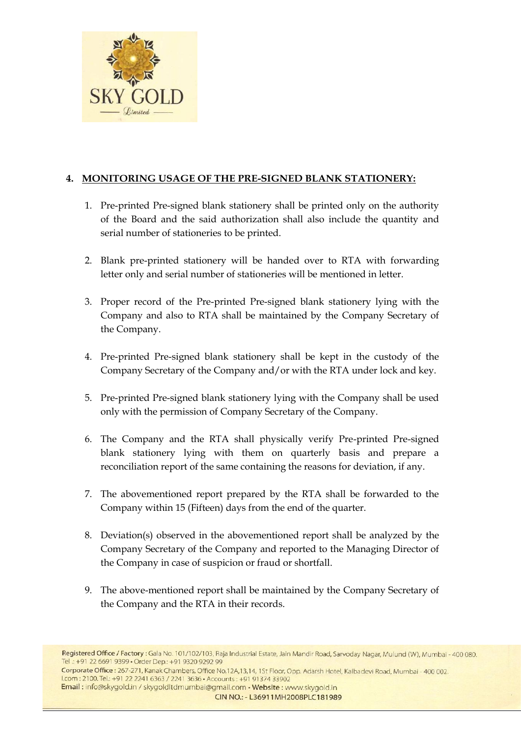

### **4. MONITORING USAGE OF THE PRE-SIGNED BLANK STATIONERY:**

- 1. Pre-printed Pre-signed blank stationery shall be printed only on the authority of the Board and the said authorization shall also include the quantity and serial number of stationeries to be printed.
- 2. Blank pre-printed stationery will be handed over to RTA with forwarding letter only and serial number of stationeries will be mentioned in letter.
- 3. Proper record of the Pre-printed Pre-signed blank stationery lying with the Company and also to RTA shall be maintained by the Company Secretary of the Company.
- 4. Pre-printed Pre-signed blank stationery shall be kept in the custody of the Company Secretary of the Company and/or with the RTA under lock and key.
- 5. Pre-printed Pre-signed blank stationery lying with the Company shall be used only with the permission of Company Secretary of the Company.
- 6. The Company and the RTA shall physically verify Pre-printed Pre-signed blank stationery lying with them on quarterly basis and prepare a reconciliation report of the same containing the reasons for deviation, if any.
- 7. The abovementioned report prepared by the RTA shall be forwarded to the Company within 15 (Fifteen) days from the end of the quarter.
- 8. Deviation(s) observed in the abovementioned report shall be analyzed by the Company Secretary of the Company and reported to the Managing Director of the Company in case of suspicion or fraud or shortfall.
- 9. The above-mentioned report shall be maintained by the Company Secretary of the Company and the RTA in their records.